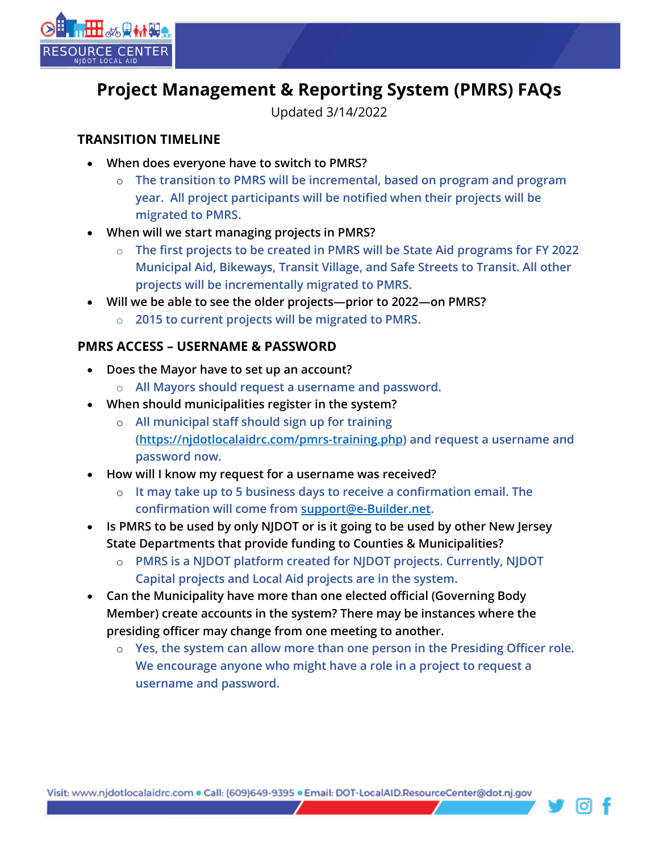

# **Project Management & Reporting System (PMRS) FAQs**

Updated 3/14/2022

## **TRANSITION TIMELINE**

- **When does everyone have to switch to PMRS?**
	- o **The transition to PMRS will be incremental, based on program and program year. All project participants will be notified when their projects will be migrated to PMRS.**
- **When will we start managing projects in PMRS?** 
	- o **The first projects to be created in PMRS will be State Aid programs for FY 2022 Municipal Aid, Bikeways, Transit Village, and Safe Streets to Transit. All other projects will be incrementally migrated to PMRS.**
- **Will we be able to see the older projects—prior to 2022—on PMRS?**
	- o **2015 to current projects will be migrated to PMRS.**

## **PMRS ACCESS – USERNAME & PASSWORD**

- **Does the Mayor have to set up an account?**
	- o **All Mayors should request a username and password.**
- **When should municipalities register in the system?**
	- o **All municipal staff should sign up for training [\(https://njdotlocalaidrc.com/pmrs-training.php\)](https://njdotlocalaidrc.com/pmrs-training.php) and request a username and password now.**
- **How will I know my request for a username was received?**
	- o **It may take up to 5 business days to receive a confirmation email. The confirmation will come from [support@e-Builder.net.](mailto:support@e-Builder.net)**
- **Is PMRS to be used by only NJDOT or is it going to be used by other New Jersey State Departments that provide funding to Counties & Municipalities?**
	- o **PMRS is a NJDOT platform created for NJDOT projects. Currently, NJDOT Capital projects and Local Aid projects are in the system.**
- **Can the Municipality have more than one elected official (Governing Body Member) create accounts in the system? There may be instances where the presiding officer may change from one meeting to another.**
	- o **Yes, the system can allow more than one person in the Presiding Officer role. We encourage anyone who might have a role in a project to request a username and password.**

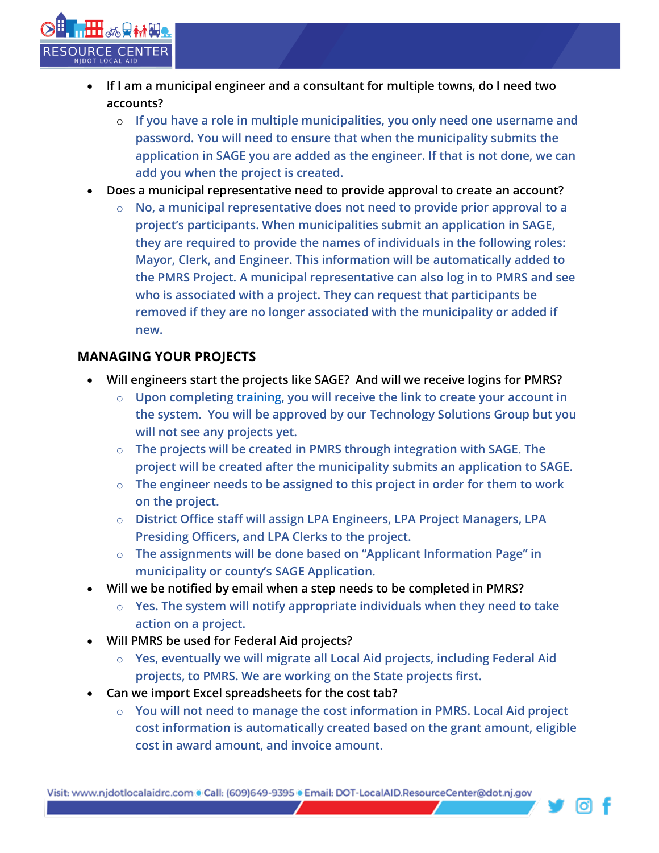

- **If I am a municipal engineer and a consultant for multiple towns, do I need two accounts?**
	- o **If you have a role in multiple municipalities, you only need one username and password. You will need to ensure that when the municipality submits the application in SAGE you are added as the engineer. If that is not done, we can add you when the project is created.**
- **Does a municipal representative need to provide approval to create an account?**
	- o **No, a municipal representative does not need to provide prior approval to a project's participants. When municipalities submit an application in SAGE, they are required to provide the names of individuals in the following roles: Mayor, Clerk, and Engineer. This information will be automatically added to the PMRS Project. A municipal representative can also log in to PMRS and see who is associated with a project. They can request that participants be removed if they are no longer associated with the municipality or added if new.**

#### **MANAGING YOUR PROJECTS**

- **Will engineers start the projects like SAGE? And will we receive logins for PMRS?**
	- o **Upon completing [training,](https://njdotlocalaidrc.com/pmrs-training.php) you will receive the link to create your account in the system. You will be approved by our Technology Solutions Group but you will not see any projects yet.**
	- o **The projects will be created in PMRS through integration with SAGE. The project will be created after the municipality submits an application to SAGE.**
	- o **The engineer needs to be assigned to this project in order for them to work on the project.**
	- o **District Office staff will assign LPA Engineers, LPA Project Managers, LPA Presiding Officers, and LPA Clerks to the project.**
	- o **The assignments will be done based on "Applicant Information Page" in municipality or county's SAGE Application.**
- **Will we be notified by email when a step needs to be completed in PMRS?**
	- o **Yes. The system will notify appropriate individuals when they need to take action on a project.**
- **Will PMRS be used for Federal Aid projects?**
	- o **Yes, eventually we will migrate all Local Aid projects, including Federal Aid projects, to PMRS. We are working on the State projects first.**
- **Can we import Excel spreadsheets for the cost tab?**
	- o **You will not need to manage the cost information in PMRS. Local Aid project cost information is automatically created based on the grant amount, eligible cost in award amount, and invoice amount.**

Visit: www.njdotlocalaidrc.com . Call: (609)649-9395 . Email: DOT-LocalAID.ResourceCenter@dot.nj.gov

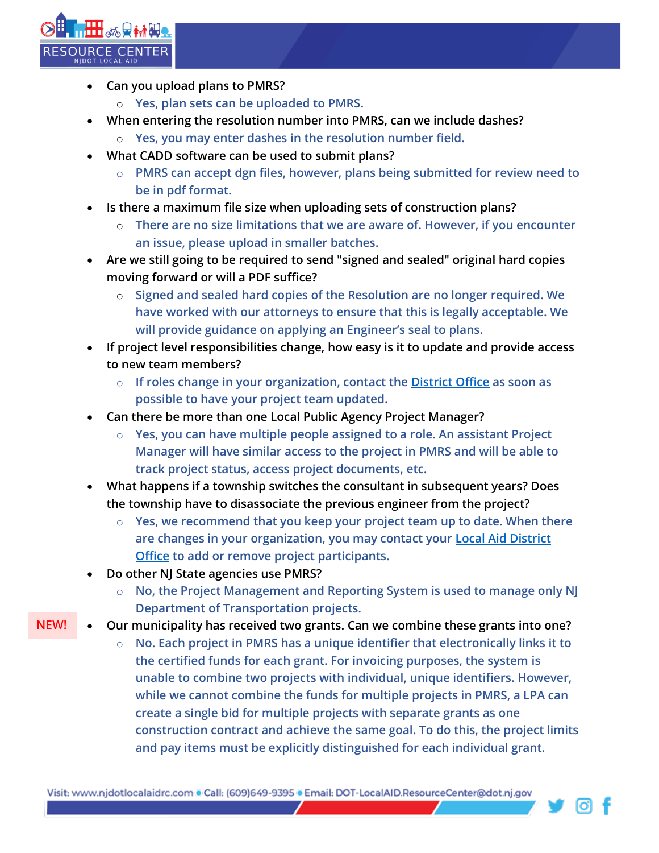

- **Can you upload plans to PMRS?**
	- o **Yes, plan sets can be uploaded to PMRS.**
- **When entering the resolution number into PMRS, can we include dashes?**
	- o **Yes, you may enter dashes in the resolution number field.**
- **What CADD software can be used to submit plans?**
	- o **PMRS can accept dgn files, however, plans being submitted for review need to be in pdf format.**
- **Is there a maximum file size when uploading sets of construction plans?**
	- o **There are no size limitations that we are aware of. However, if you encounter an issue, please upload in smaller batches.**
- **Are we still going to be required to send "signed and sealed" original hard copies moving forward or will a PDF suffice?**
	- o **Signed and sealed hard copies of the Resolution are no longer required. We have worked with our attorneys to ensure that this is legally acceptable. We will provide guidance on applying an Engineer's seal to plans.**
- **If project level responsibilities change, how easy is it to update and provide access to new team members?**
	- o **If roles change in your organization, contact the [District Office](https://njdotlocalaidrc.com/about-us/district-offices) as soon as possible to have your project team updated.**
- **Can there be more than one Local Public Agency Project Manager?**
	- o **Yes, you can have multiple people assigned to a role. An assistant Project Manager will have similar access to the project in PMRS and will be able to track project status, access project documents, etc.**
- **What happens if a township switches the consultant in subsequent years? Does the township have to disassociate the previous engineer from the project?**
	- o **Yes, we recommend that you keep your project team up to date. When there are changes in your organization, you may contact your [Local Aid District](https://njdotlocalaidrc.com/about-us/district-offices)  [Office](https://njdotlocalaidrc.com/about-us/district-offices) to add or remove project participants.**
- **Do other NJ State agencies use PMRS?**
	- o **No, the Project Management and Reporting System is used to manage only NJ Department of Transportation projects.**
- **Our municipality has received two grants. Can we combine these grants into one? NEW!**
	- o **No. Each project in PMRS has a unique identifier that electronically links it to the certified funds for each grant. For invoicing purposes, the system is unable to combine two projects with individual, unique identifiers. However, while we cannot combine the funds for multiple projects in PMRS, a LPA can create a single bid for multiple projects with separate grants as one construction contract and achieve the same goal. To do this, the project limits and pay items must be explicitly distinguished for each individual grant.**

Visit: www.njdotlocalaidrc.com . Call: (609)649-9395 . Email: DOT-LocalAID.ResourceCenter@dot.nj.gov